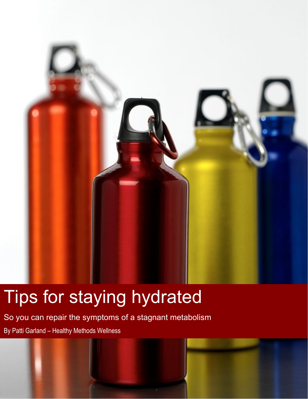

## Tips for staying hydrated

So you can repair the symptoms of a stagnant metabolism By Patti Garland – Healthy Methods Wellness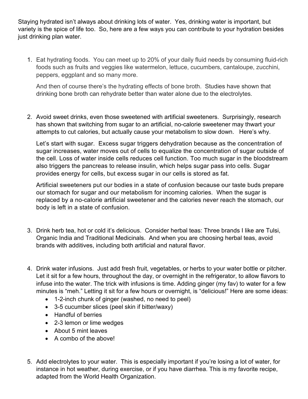Staying hydrated isn't always about drinking lots of water. Yes, drinking water is important, but variety is the spice of life too. So, here are a few ways you can contribute to your hydration besides just drinking plan water.

1. Eat hydrating foods. You can meet up to 20% of your daily fluid needs by consuming fluid-rich foods such as fruits and veggies like watermelon, lettuce, cucumbers, cantaloupe, zucchini, peppers, eggplant and so many more.

And then of course there's the hydrating effects of bone broth. Studies have shown that drinking bone broth can rehydrate better than water alone due to the electrolytes.

2. Avoid sweet drinks, even those sweetened with artificial sweeteners. Surprisingly, research has shown that switching from sugar to an artificial, no-calorie sweetener may thwart your attempts to cut calories, but actually cause your metabolism to slow down. Here's why.

Let's start with sugar. Excess sugar triggers dehydration because as the concentration of sugar increases, water moves out of cells to equalize the concentration of sugar outside of the cell. Loss of water inside cells reduces cell function. Too much sugar in the bloodstream also triggers the pancreas to release insulin, which helps sugar pass into cells. Sugar provides energy for cells, but excess sugar in our cells is stored as fat.

Artificial sweeteners put our bodies in a state of confusion because our taste buds prepare our stomach for sugar and our metabolism for incoming calories. When the sugar is replaced by a no-calorie artificial sweetener and the calories never reach the stomach, our body is left in a state of confusion.

- 3. Drink herb tea, hot or cold it's delicious. Consider herbal teas: Three brands I like are Tulsi, Organic India and Traditional Medicinals. And when you are choosing herbal teas, avoid brands with additives, including both artificial and natural flavor.
- 4. Drink water infusions. Just add fresh fruit, vegetables, or herbs to your water bottle or pitcher. Let it sit for a few hours, throughout the day, or overnight in the refrigerator, to allow flavors to infuse into the water. The trick with infusions is time. Adding ginger (my fav) to water for a few minutes is "meh." Letting it sit for a few hours or overnight, is "delicious!" Here are some ideas:
	- 1-2-inch chunk of ginger (washed, no need to peel)
	- 3-5 cucumber slices (peel skin if bitter/waxy)
	- Handful of berries
	- 2-3 lemon or lime wedges
	- About 5 mint leaves
	- A combo of the above!
- 5. Add electrolytes to your water. This is especially important if you're losing a lot of water, for instance in hot weather, during exercise, or if you have diarrhea. This is my favorite recipe, adapted from the World Health Organization.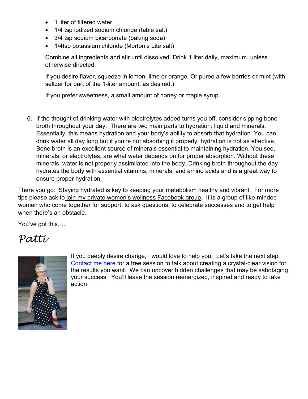- 1 liter of filtered water
- 1/4 tsp iodized sodium chloride (table salt)
- 3/4 tsp sodium bicarbonate (baking soda)
- 1/4tsp potassium chloride (Morton's Lite salt)

Combine all ingredients and stir until dissolved. Drink 1 liter daily, maximum, unless otherwise directed.

If you desire flavor, squeeze in lemon, lime or orange. Or puree a few berries or mint (with seltzer for part of the 1-liter amount, as desired.)

If you prefer sweetness, a small amount of honey or maple syrup.

6. If the thought of drinking water with electrolytes added turns you off, consider sipping bone broth throughout your day. There are two main parts to hydration: liquid and minerals. Essentially, this means hydration and your body's ability to absorb that hydration. You can drink water all day long but if you're not absorbing it properly, hydration is not as effective. Bone broth is an excellent source of minerals essential to maintaining hydration. You see, minerals, or electrolytes, are what water depends on for proper absorption. Without these minerals, water is not properly assimilated into the body. Drinking broth throughout the day hydrates the body with essential vitamins, minerals, and amino acids and is a great way to ensure proper hydration.

There you go. Staying hydrated is key to keeping your metabolism healthy and vibrant. For more tips please ask to [join my private women's wellness Facebook group.](https://www.facebook.com/groups/HMWfitnessnutrition/) It is a group of like-minded women who come together for support, to ask questions, to celebrate successes and to get help when there's an obstacle.

You've got this….

## *Patti*



If you deeply desire change, I would love to help you. Let's take the next step. [Contact me here](https://hmwappointments.as.me/chat) for a free session to talk about creating a crystal-clear vision for the results you want. We can uncover hidden challenges that may be sabotaging your success. You'll leave the session reenergized, inspired and ready to take action.